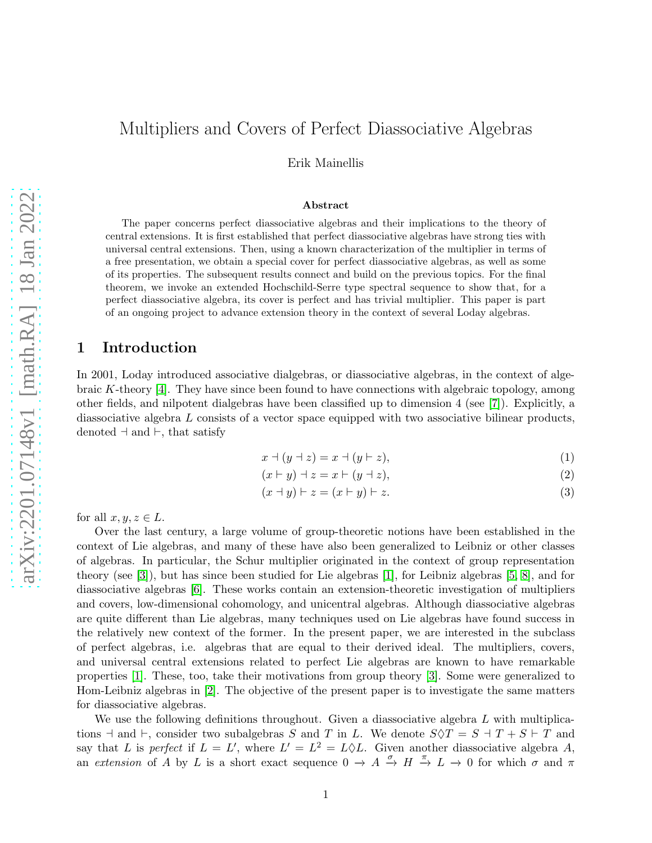# Multipliers and Covers of Perfect Diassociative Algebras

Erik Mainellis

#### Abstract

The paper concerns perfect diassociative algebras and their implications to the theory of central extensions. It is first established that perfect diassociative algebras have strong ties with universal central extensions. Then, using a known characterization of the multiplier in terms of a free presentation, we obtain a special cover for perfect diassociative algebras, as well as some of its properties. The subsequent results connect and build on the previous topics. For the final theorem, we invoke an extended Hochschild-Serre type spectral sequence to show that, for a perfect diassociative algebra, its cover is perfect and has trivial multiplier. This paper is part of an ongoing project to advance extension theory in the context of several Loday algebras.

#### 1 Introduction

In 2001, Loday introduced associative dialgebras, or diassociative algebras, in the context of algebraic K-theory [4]. They have since been found to have connections with algebraic topology, among other fields, and nilpotent dialgebras have been classified up to dimension 4 (see [\[7\]](#page-8-0)). Explicitly, a diassociative algebra L consists of a vector space equipped with two associative bilinear products, denoted ⊣ and ⊢, that satisfy

$$
x \mathbin{\dashv} (y \mathbin{\dashv} z) = x \mathbin{\dashv} (y \mathbin{\vdash} z), \tag{1}
$$

$$
(x \vdash y) \dashv z = x \vdash (y \dashv z), \tag{2}
$$

$$
(x+y)\vdash z = (x\vdash y)\vdash z.\tag{3}
$$

for all  $x, y, z \in L$ .

Over the last century, a large volume of group-theoretic notions have been established in the context of Lie algebras, and many of these have also been generalized to Leibniz or other classes of algebras. In particular, the Schur multiplier originated in the context of group representation theory (see [\[3\]](#page-8-1)), but has since been studied for Lie algebras [\[1\]](#page-8-2), for Leibniz algebras [5, [8\]](#page-8-3), and for diassociative algebras [6]. These works contain an extension-theoretic investigation of multipliers and covers, low-dimensional cohomology, and unicentral algebras. Although diassociative algebras are quite different than Lie algebras, many techniques used on Lie algebras have found success in the relatively new context of the former. In the present paper, we are interested in the subclass of perfect algebras, i.e. algebras that are equal to their derived ideal. The multipliers, covers, and universal central extensions related to perfect Lie algebras are known to have remarkable properties [\[1\]](#page-8-2). These, too, take their motivations from group theory [\[3\]](#page-8-1). Some were generalized to Hom-Leibniz algebras in [\[2\]](#page-8-4). The objective of the present paper is to investigate the same matters for diassociative algebras.

We use the following definitions throughout. Given a diassociative algebra  $L$  with multiplications  $\exists$  and  $\vdash$ , consider two subalgebras S and T in L. We denote  $S \Diamond T = S \exists T + S \vdash T$  and say that L is perfect if  $L = L'$ , where  $L' = L^2 = L \Diamond L$ . Given another diassociative algebra A, an extension of A by L is a short exact sequence  $0 \to A \stackrel{\sigma}{\to} H \stackrel{\pi}{\to} L \to 0$  for which  $\sigma$  and  $\pi$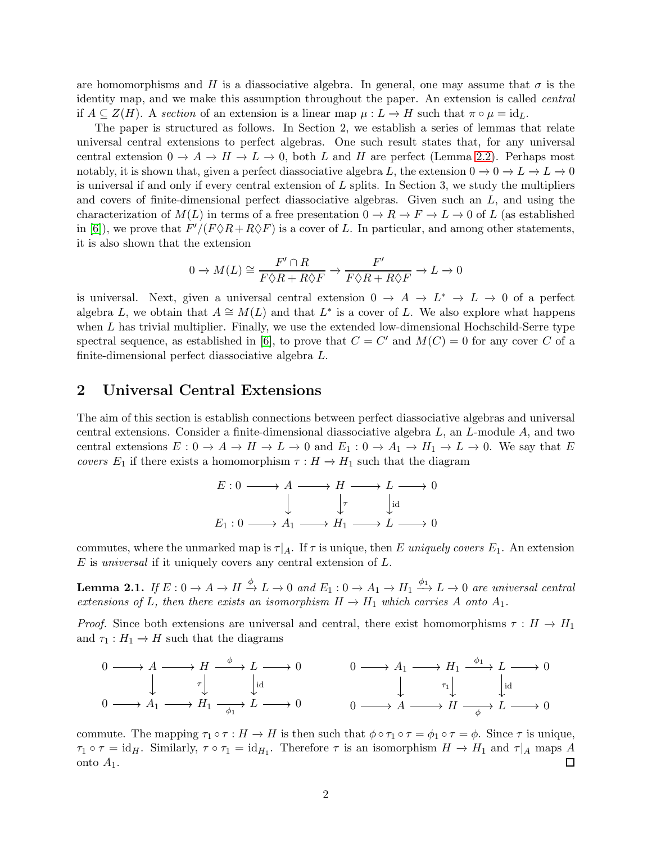are homomorphisms and H is a diassociative algebra. In general, one may assume that  $\sigma$  is the identity map, and we make this assumption throughout the paper. An extension is called central if  $A \subseteq Z(H)$ . A section of an extension is a linear map  $\mu : L \to H$  such that  $\pi \circ \mu = id_L$ .

The paper is structured as follows. In Section 2, we establish a series of lemmas that relate universal central extensions to perfect algebras. One such result states that, for any universal central extension  $0 \to A \to H \to L \to 0$ , both L and H are perfect (Lemma [2.2\)](#page-2-0). Perhaps most notably, it is shown that, given a perfect diassociative algebra L, the extension  $0 \to 0 \to L \to L \to 0$ is universal if and only if every central extension of  $L$  splits. In Section 3, we study the multipliers and covers of finite-dimensional perfect diassociative algebras. Given such an  $L$ , and using the characterization of  $M(L)$  in terms of a free presentation  $0 \to R \to F \to L \to 0$  of L (as established in [6]), we prove that  $F'/(F \Diamond R + R \Diamond F)$  is a cover of L. In particular, and among other statements, it is also shown that the extension

$$
0 \to M(L) \cong \frac{F' \cap R}{F \Diamond R + R \Diamond F} \to \frac{F'}{F \Diamond R + R \Diamond F} \to L \to 0
$$

is universal. Next, given a universal central extension  $0 \to A \to L^* \to L \to 0$  of a perfect algebra L, we obtain that  $A \cong M(L)$  and that  $L^*$  is a cover of L. We also explore what happens when  $L$  has trivial multiplier. Finally, we use the extended low-dimensional Hochschild-Serre type spectral sequence, as established in [6], to prove that  $C = C'$  and  $M(C) = 0$  for any cover C of a finite-dimensional perfect diassociative algebra L.

### 2 Universal Central Extensions

The aim of this section is establish connections between perfect diassociative algebras and universal central extensions. Consider a finite-dimensional diassociative algebra  $L$ , an  $L$ -module  $A$ , and two central extensions  $E: 0 \to A \to H \to L \to 0$  and  $E_1: 0 \to A_1 \to H_1 \to L \to 0$ . We say that E covers  $E_1$  if there exists a homomorphism  $\tau : H \to H_1$  such that the diagram

$$
E: 0 \longrightarrow A \longrightarrow H \longrightarrow L \longrightarrow 0
$$
  

$$
\downarrow \qquad \qquad \downarrow \qquad \qquad \downarrow id
$$
  

$$
E_1: 0 \longrightarrow A_1 \longrightarrow H_1 \longrightarrow L \longrightarrow 0
$$

commutes, where the unmarked map is  $\tau|_A$ . If  $\tau$  is unique, then E uniquely covers  $E_1$ . An extension  $E$  is *universal* if it uniquely covers any central extension of  $L$ .

<span id="page-1-0"></span>**Lemma 2.1.** If  $E: 0 \to A \to H \xrightarrow{\phi} L \to 0$  and  $E_1: 0 \to A_1 \to H_1 \xrightarrow{\phi_1} L \to 0$  are universal central extensions of L, then there exists an isomorphism  $H \to H_1$  which carries A onto  $A_1$ .

*Proof.* Since both extensions are universal and central, there exist homomorphisms  $\tau : H \to H_1$ and  $\tau_1 : H_1 \to H$  such that the diagrams

0 A H L 0 0 A<sup>1</sup> H<sup>1</sup> L 0 τ φ id φ1 0 A<sup>1</sup> H<sup>1</sup> L 0 0 A H L 0 τ1 φ1 id φ

commute. The mapping  $\tau_1 \circ \tau : H \to H$  is then such that  $\phi \circ \tau_1 \circ \tau = \phi_1 \circ \tau = \phi$ . Since  $\tau$  is unique,  $\tau_1 \circ \tau = \text{id}_H$ . Similarly,  $\tau \circ \tau_1 = \text{id}_{H_1}$ . Therefore  $\tau$  is an isomorphism  $H \to H_1$  and  $\tau|_A$  maps A onto  $A_1$ . 囗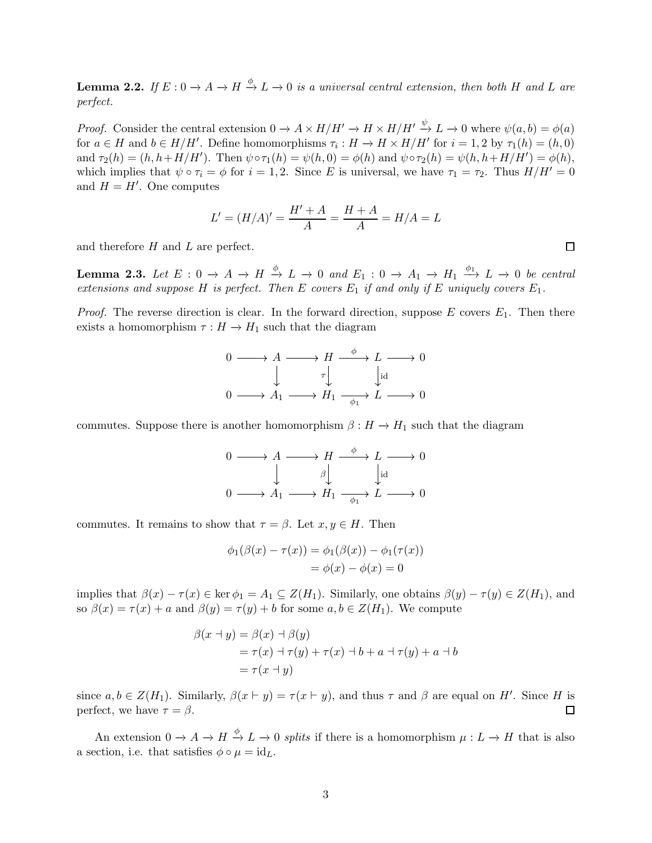<span id="page-2-0"></span>**Lemma 2.2.** If  $E: 0 \to A \to H \xrightarrow{\phi} L \to 0$  is a universal central extension, then both H and L are perfect.

*Proof.* Consider the central extension  $0 \to A \times H/H' \to H \times H/H' \to L \to 0$  where  $\psi(a, b) = \phi(a)$ for  $a \in H$  and  $b \in H/H'$ . Define homomorphisms  $\tau_i : H \to H \times H/H'$  for  $i = 1, 2$  by  $\tau_1(h) = (h, 0)$ and  $\tau_2(h) = (h, h + H/H')$ . Then  $\psi \circ \tau_1(h) = \psi(h, 0) = \phi(h)$  and  $\psi \circ \tau_2(h) = \psi(h, h + H/H') = \phi(h)$ , which implies that  $\psi \circ \tau_i = \phi$  for  $i = 1, 2$ . Since E is universal, we have  $\tau_1 = \tau_2$ . Thus  $H/H' = 0$ and  $H = H'$ . One computes

$$
L' = (H/A)' = \frac{H' + A}{A} = \frac{H + A}{A} = H/A = L
$$

and therefore H and L are perfect.

<span id="page-2-1"></span>**Lemma 2.3.** Let  $E: 0 \to A \to H \xrightarrow{\phi} L \to 0$  and  $E_1: 0 \to A_1 \to H_1 \xrightarrow{\phi_1} L \to 0$  be central extensions and suppose H is perfect. Then E covers  $E_1$  if and only if E uniquely covers  $E_1$ .

*Proof.* The reverse direction is clear. In the forward direction, suppose E covers  $E_1$ . Then there exists a homomorphism  $\tau : H \to H_1$  such that the diagram

$$
0 \longrightarrow A \longrightarrow H \longrightarrow L \longrightarrow 0
$$
  

$$
\downarrow \qquad \qquad \tau \downarrow \qquad \qquad \downarrow id
$$
  

$$
0 \longrightarrow A_1 \longrightarrow H_1 \longrightarrow \qquad \downarrow id \longrightarrow 0
$$

commutes. Suppose there is another homomorphism  $\beta : H \to H_1$  such that the diagram

$$
\begin{array}{ccc}\n0 & \longrightarrow & A \longrightarrow H \xrightarrow{\phi} & L \longrightarrow 0 \\
\downarrow & & \uparrow \downarrow \\
0 & \longrightarrow & A_1 \longrightarrow H_1 \xrightarrow{\phi_1} & L \longrightarrow 0\n\end{array}
$$

commutes. It remains to show that  $\tau = \beta$ . Let  $x, y \in H$ . Then

$$
\phi_1(\beta(x) - \tau(x)) = \phi_1(\beta(x)) - \phi_1(\tau(x)) \n= \phi(x) - \phi(x) = 0
$$

implies that  $\beta(x) - \tau(x) \in \text{ker } \phi_1 = A_1 \subseteq Z(H_1)$ . Similarly, one obtains  $\beta(y) - \tau(y) \in Z(H_1)$ , and so  $\beta(x) = \tau(x) + a$  and  $\beta(y) = \tau(y) + b$  for some  $a, b \in Z(H_1)$ . We compute

$$
\beta(x \to y) = \beta(x) \to \beta(y)
$$
  
=  $\tau(x) \to \tau(y) + \tau(x) \to b + a \to \tau(y) + a \to b$   
=  $\tau(x \to y)$ 

since  $a, b \in Z(H_1)$ . Similarly,  $\beta(x \vdash y) = \tau(x \vdash y)$ , and thus  $\tau$  and  $\beta$  are equal on H'. Since H is perfect, we have  $\tau = \beta$ .  $\Box$ 

An extension  $0 \to A \to H \xrightarrow{\phi} L \to 0$  splits if there is a homomorphism  $\mu: L \to H$  that is also a section, i.e. that satisfies  $\phi \circ \mu = id_L$ .

 $\Box$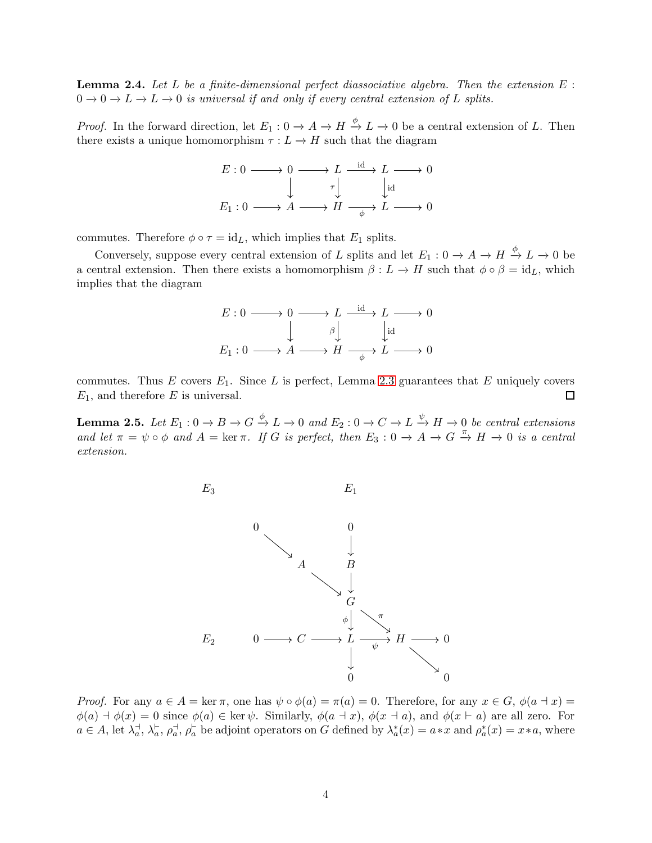<span id="page-3-1"></span>**Lemma 2.4.** Let L be a finite-dimensional perfect diassociative algebra. Then the extension  $E$ :  $0 \to 0 \to L \to L \to 0$  is universal if and only if every central extension of L splits.

*Proof.* In the forward direction, let  $E_1: 0 \to A \to H \xrightarrow{\phi} L \to 0$  be a central extension of L. Then there exists a unique homomorphism  $\tau : L \to H$  such that the diagram

$$
E: 0 \longrightarrow 0 \longrightarrow L \xrightarrow{\text{id}} L \longrightarrow 0
$$
  

$$
\downarrow \qquad \tau \downarrow \qquad \downarrow \text{id}
$$
  

$$
E_1: 0 \longrightarrow A \longrightarrow H \xrightarrow{\qquad \phi} L \longrightarrow 0
$$

commutes. Therefore  $\phi \circ \tau = id_L$ , which implies that  $E_1$  splits.

Conversely, suppose every central extension of L splits and let  $E_1: 0 \to A \to H \xrightarrow{\phi} L \to 0$  be a central extension. Then there exists a homomorphism  $\beta : L \to H$  such that  $\phi \circ \beta = id_L$ , which implies that the diagram

$$
E: 0 \longrightarrow 0 \longrightarrow L \xrightarrow{\text{id}} L \longrightarrow 0
$$
  

$$
\downarrow \qquad \qquad \beta \downarrow \qquad \qquad \downarrow \text{id}
$$
  

$$
E_1: 0 \longrightarrow A \longrightarrow H \xrightarrow{\qquad \qquad \phi} L \longrightarrow 0
$$

commutes. Thus  $E$  covers  $E_1$ . Since  $L$  is perfect, Lemma [2.3](#page-2-1) guarantees that  $E$  uniquely covers  $E_1$ , and therefore E is universal. 囗

<span id="page-3-0"></span>**Lemma 2.5.** Let  $E_1: 0 \to B \to G \xrightarrow{\phi} L \to 0$  and  $E_2: 0 \to C \to L \xrightarrow{\psi} H \to 0$  be central extensions and let  $\pi = \psi \circ \phi$  and  $A = \ker \pi$ . If G is perfect, then  $E_3 : 0 \to A \to G \stackrel{\pi}{\to} H \to 0$  is a central extension.



*Proof.* For any  $a \in A = \ker \pi$ , one has  $\psi \circ \phi(a) = \pi(a) = 0$ . Therefore, for any  $x \in G$ ,  $\phi(a + x) =$  $\phi(a) \dashv \phi(x) = 0$  since  $\phi(a) \in \text{ker } \psi$ . Similarly,  $\phi(a \dashv x)$ ,  $\phi(x \dashv a)$ , and  $\phi(x \vdash a)$  are all zero. For  $a \in A$ , let  $\lambda_a$  $a^{\dagger}$ ,  $\lambda_a^{\dagger}$  $_a^{\vdash}, \rho_a^{\dashv}$  $a^{\dagger}_{a}, \rho^{\dagger}_{a}$  be adjoint operators on  $G$  defined by  $\lambda_a^*$  $a_a^*(x) = a * x$  and  $\rho_a^*$  $a^*(x) = x*a$ , where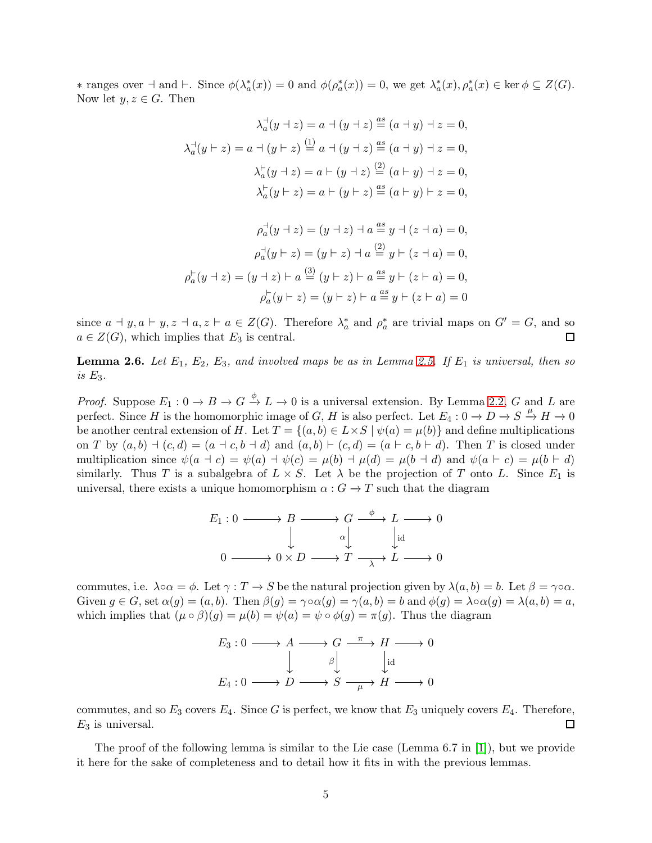∗ ranges over ⊣ and ⊢. Since φ(λ ∗  $a_a^*(x)$  = 0 and  $\phi(\rho_a^*)$  $a_a^*(x)$  = 0, we get  $\lambda_a^*$  $a_a^*(x), \rho_a^*(x) \in \text{ker } \phi \subseteq Z(G).$ Now let  $y, z \in G$ . Then

$$
\lambda_a^+(y+z) = a + (y+z) \stackrel{\text{as}}{=} (a+y) + z = 0,
$$
  

$$
\lambda_a^+(y+z) = a + (y+z) \stackrel{(1)}{=} a + (y+z) \stackrel{\text{as}}{=} (a+y) + z = 0,
$$
  

$$
\lambda_a^+(y+z) = a + (y+z) \stackrel{(2)}{=} (a+y) + z = 0,
$$
  

$$
\lambda_a^+(y+z) = a + (y+z) \stackrel{\text{as}}{=} (a+y) + z = 0,
$$

$$
\rho_a^+(y+z) = (y+z) + a \stackrel{as}{=} y + (z+a) = 0,
$$
  

$$
\rho_a^+(y+z) = (y+z) + a \stackrel{(2)}{=} y + (z+a) = 0,
$$
  

$$
\rho_a^+(y+z) = (y+z) + a \stackrel{(3)}{=} (y+z) + a \stackrel{as}{=} y + (z+a) = 0,
$$
  

$$
\rho_a^+(y+z) = (y+z) + a \stackrel{as}{=} y + (z+a) = 0
$$

since  $a \dashv y, a \vdash y, z \dashv a, z \vdash a \in Z(G)$ . Therefore  $\lambda_a^*$  $_a^*$  and  $\rho_a^*$  $a_a^*$  are trivial maps on  $G' = G$ , and so  $a \in Z(G)$ , which implies that  $E_3$  is central.  $\Box$ 

**Lemma 2.6.** Let  $E_1$ ,  $E_2$ ,  $E_3$ , and involved maps be as in Lemma [2.5.](#page-3-0) If  $E_1$  is universal, then so is  $E_3$ .

*Proof.* Suppose  $E_1: 0 \to B \to G \xrightarrow{\phi} L \to 0$  is a universal extension. By Lemma [2.2,](#page-2-0) G and L are perfect. Since H is the homomorphic image of G, H is also perfect. Let  $E_4: 0 \to D \to S \stackrel{\mu}{\to} H \to 0$ be another central extension of H. Let  $T = \{(a, b) \in L \times S \mid \psi(a) = \mu(b)\}\$  and define multiplications on T by  $(a, b)$   $\vdash (c, d) = (a + c, b + d)$  and  $(a, b) \vdash (c, d) = (a \vdash c, b \vdash d)$ . Then T is closed under multiplication since  $\psi(a \dashv c) = \psi(a) \dashv \psi(c) = \mu(b) \dashv \mu(d) = \mu(b \dashv d)$  and  $\psi(a \vdash c) = \mu(b \vdash d)$ similarly. Thus T is a subalgebra of  $L \times S$ . Let  $\lambda$  be the projection of T onto L. Since  $E_1$  is universal, there exists a unique homomorphism  $\alpha$  :  $G \to T$  such that the diagram

$$
E_1: 0 \longrightarrow B \longrightarrow G \xrightarrow{\phi} L \longrightarrow 0
$$
  

$$
\downarrow \qquad \qquad \downarrow \qquad \downarrow \downarrow \downarrow
$$
  

$$
0 \longrightarrow 0 \times D \longrightarrow T \longrightarrow L \longrightarrow 0
$$

commutes, i.e.  $\lambda \circ \alpha = \phi$ . Let  $\gamma : T \to S$  be the natural projection given by  $\lambda(a, b) = b$ . Let  $\beta = \gamma \circ \alpha$ . Given  $g \in G$ , set  $\alpha(g) = (a, b)$ . Then  $\beta(g) = \gamma \circ \alpha(g) = \gamma(a, b) = b$  and  $\phi(g) = \lambda \circ \alpha(g) = \lambda(a, b) = a$ , which implies that  $(\mu \circ \beta)(g) = \mu(b) = \psi(a) = \psi \circ \phi(g) = \pi(g)$ . Thus the diagram

$$
E_3: 0 \longrightarrow A \longrightarrow G \xrightarrow{\pi} H \longrightarrow 0
$$
  

$$
\downarrow \qquad \qquad \beta \downarrow \qquad \qquad \downarrow id
$$
  

$$
E_4: 0 \longrightarrow D \longrightarrow S \xrightarrow{\mu} H \longrightarrow 0
$$

commutes, and so  $E_3$  covers  $E_4$ . Since G is perfect, we know that  $E_3$  uniquely covers  $E_4$ . Therefore,  $E_3$  is universal.  $\Box$ 

The proof of the following lemma is similar to the Lie case (Lemma 6.7 in [\[1\]](#page-8-2)), but we provide it here for the sake of completeness and to detail how it fits in with the previous lemmas.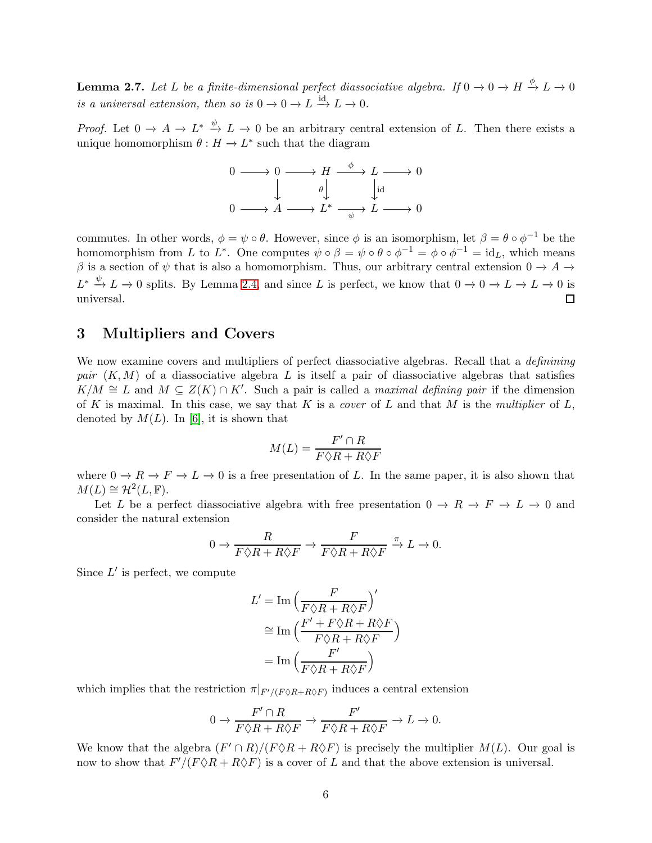<span id="page-5-0"></span>**Lemma 2.7.** Let L be a finite-dimensional perfect diassociative algebra. If  $0 \to 0 \to H \xrightarrow{\phi} L \to 0$ is a universal extension, then so is  $0 \to 0 \to L \stackrel{id}{\to} L \to 0$ .

*Proof.* Let  $0 \to A \to L^* \stackrel{\psi}{\to} L \to 0$  be an arbitrary central extension of L. Then there exists a unique homomorphism  $\theta: H \to L^*$  such that the diagram

$$
\begin{array}{ccc}\n0 & \longrightarrow & 0 \longrightarrow H \xrightarrow{\phi} & L \longrightarrow 0 \\
\downarrow & & \downarrow \text{id} \\
0 & \longrightarrow & A \longrightarrow L^* \xrightarrow{\psi} & L \longrightarrow 0\n\end{array}
$$

commutes. In other words,  $\phi = \psi \circ \theta$ . However, since  $\phi$  is an isomorphism, let  $\beta = \theta \circ \phi^{-1}$  be the homomorphism from L to L<sup>\*</sup>. One computes  $\psi \circ \beta = \psi \circ \theta \circ \phi^{-1} = \phi \circ \phi^{-1} = id_L$ , which means  $\beta$  is a section of  $\psi$  that is also a homomorphism. Thus, our arbitrary central extension  $0 \to A \to$  $L^* \xrightarrow{\psi} L \to 0$  splits. By Lemma [2.4,](#page-3-1) and since L is perfect, we know that  $0 \to 0 \to L \to L \to 0$  is universal.  $\Box$ 

### 3 Multipliers and Covers

We now examine covers and multipliers of perfect diassociative algebras. Recall that a *definining* pair  $(K, M)$  of a diassociative algebra L is itself a pair of diassociative algebras that satisfies  $K/M \cong L$  and  $M \subseteq Z(K) \cap K'$ . Such a pair is called a maximal defining pair if the dimension of K is maximal. In this case, we say that K is a cover of L and that M is the multiplier of  $L$ , denoted by  $M(L)$ . In [6], it is shown that

$$
M(L) = \frac{F' \cap R}{F \Diamond R + R \Diamond F}
$$

where  $0 \to R \to F \to L \to 0$  is a free presentation of L. In the same paper, it is also shown that  $M(L) \cong \mathcal{H}^2(L,\mathbb{F}).$ 

Let L be a perfect diassociative algebra with free presentation  $0 \to R \to F \to L \to 0$  and consider the natural extension

$$
0 \to \frac{R}{F\Diamond R + R\Diamond F} \to \frac{F}{F\Diamond R + R\Diamond F} \xrightarrow{\pi} L \to 0.
$$

Since  $L'$  is perfect, we compute

$$
L' = \text{Im}\left(\frac{F}{F\Diamond R + R\Diamond F}\right)'
$$

$$
\approx \text{Im}\left(\frac{F' + F\Diamond R + R\Diamond F}{F\Diamond R + R\Diamond F}\right)
$$

$$
= \text{Im}\left(\frac{F'}{F\Diamond R + R\Diamond F}\right)
$$

which implies that the restriction  $\pi|_{F'/(F \Diamond R + R \Diamond F)}$  induces a central extension

$$
0 \to \frac{F' \cap R}{F \Diamond R + R \Diamond F} \to \frac{F'}{F \Diamond R + R \Diamond F} \to L \to 0.
$$

We know that the algebra  $(F' \cap R)/(F \Diamond R + R \Diamond F)$  is precisely the multiplier  $M(L)$ . Our goal is now to show that  $F'/(F \Diamond R + R \Diamond F)$  is a cover of L and that the above extension is universal.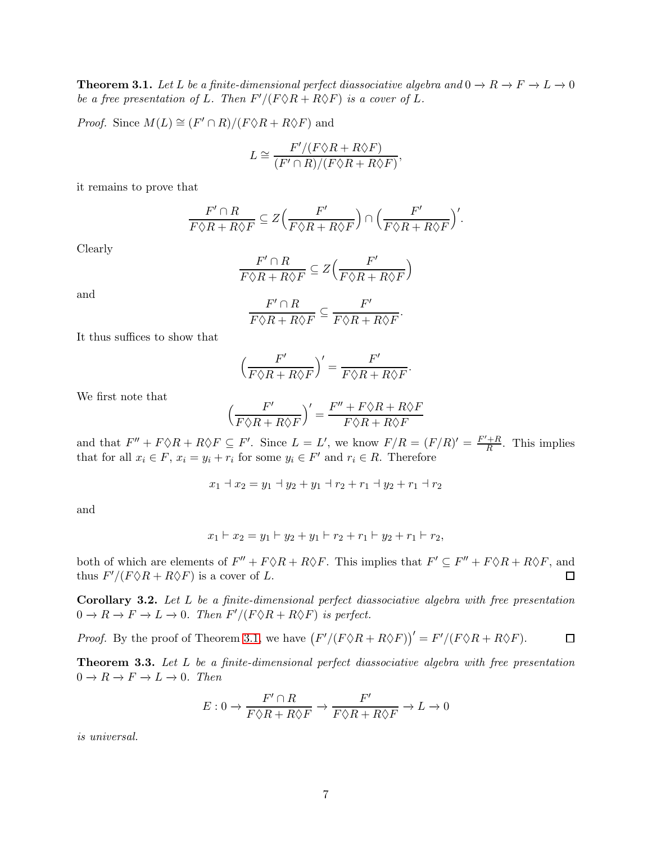<span id="page-6-0"></span>**Theorem 3.1.** Let L be a finite-dimensional perfect diassociative algebra and  $0 \to R \to F \to L \to 0$ be a free presentation of L. Then  $F'/(F \Diamond R + R \Diamond F)$  is a cover of L.

*Proof.* Since  $M(L) \cong (F' \cap R)/(F \Diamond R + R \Diamond F)$  and

$$
L \cong \frac{F'/(F \Diamond R + R \Diamond F)}{(F' \cap R)/(F \Diamond R + R \Diamond F)},
$$

it remains to prove that

$$
\frac{F' \cap R}{F \Diamond R + R \Diamond F} \subseteq Z \Big( \frac{F'}{F \Diamond R + R \Diamond F} \Big) \cap \Big( \frac{F'}{F \Diamond R + R \Diamond F} \Big)'.
$$

Clearly

$$
\frac{F' \cap R}{F \Diamond R + R \Diamond F} \subseteq Z\left(\frac{F'}{F \Diamond R + R \Diamond F}\right)
$$

and

$$
\frac{F' \cap R}{F \Diamond R + R \Diamond F} \subseteq \frac{F'}{F \Diamond R + R \Diamond F}.
$$

It thus suffices to show that

$$
\Big(\frac{F'}{F\Diamond R+R\Diamond F}\Big)'=\frac{F'}{F\Diamond R+R\Diamond F}.
$$

We first note that

$$
\Big(\frac{F'}{F\Diamond R+R\Diamond F}\Big)'=\frac{F''+F\Diamond R+R\Diamond F}{F\Diamond R+R\Diamond F}
$$

and that  $F'' + F \Diamond R + R \Diamond F \subseteq F'$ . Since  $L = L'$ , we know  $F/R = (F/R)' = \frac{F' + R}{R}$  $\frac{H}{R}$ . This implies that for all  $x_i \in F$ ,  $x_i = y_i + r_i$  for some  $y_i \in F'$  and  $r_i \in R$ . Therefore

$$
x_1 \dashv x_2 = y_1 \dashv y_2 + y_1 \dashv r_2 + r_1 \dashv y_2 + r_1 \dashv r_2
$$

and

$$
x_1 \vdash x_2 = y_1 \vdash y_2 + y_1 \vdash r_2 + r_1 \vdash y_2 + r_1 \vdash r_2,
$$

both of which are elements of  $F'' + F \lozenge R + R \lozenge F$ . This implies that  $F' \subseteq F'' + F \lozenge R + R \lozenge F$ , and thus  $F'/(F \Diamond R + R \Diamond F)$  is a cover of L. □

Corollary 3.2. Let L be a finite-dimensional perfect diassociative algebra with free presentation  $0 \to R \to F \to L \to 0$ . Then  $F'/(F \Diamond R + R \Diamond F)$  is perfect.

*Proof.* By the proof of Theorem [3.1,](#page-6-0) we have  $(F'/(F \Diamond R + R \Diamond F))' = F'/(F \Diamond R + R \Diamond F)$ .  $\Box$ 

<span id="page-6-1"></span>**Theorem 3.3.** Let L be a finite-dimensional perfect diassociative algebra with free presentation  $0 \to R \to F \to L \to 0$ . Then

$$
E: 0 \to \frac{F' \cap R}{F \Diamond R + R \Diamond F} \to \frac{F'}{F \Diamond R + R \Diamond F} \to L \to 0
$$

is universal.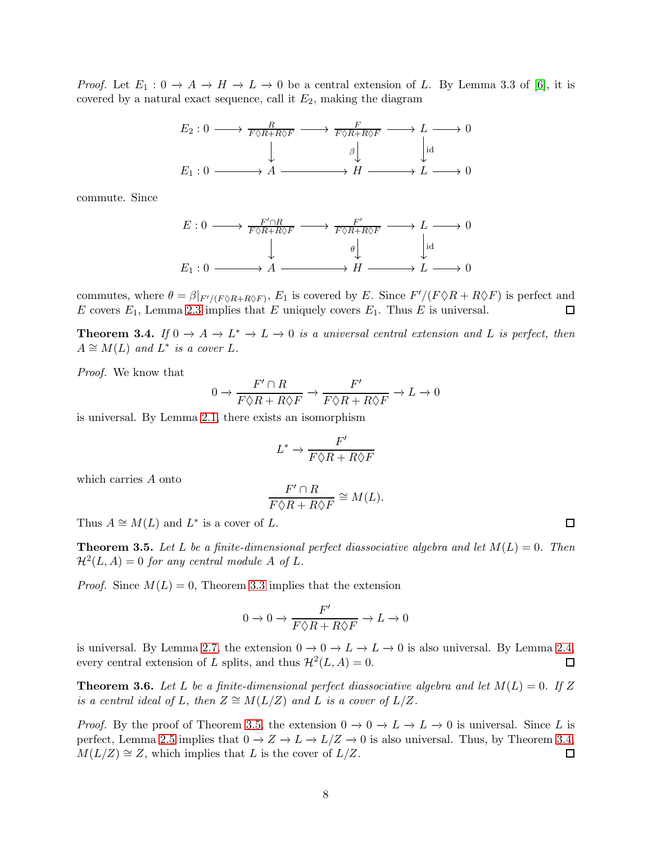*Proof.* Let  $E_1: 0 \to A \to H \to L \to 0$  be a central extension of L. By Lemma 3.3 of [6], it is covered by a natural exact sequence, call it  $E_2$ , making the diagram

$$
E_2: 0 \longrightarrow \frac{R}{F \Diamond R + R \Diamond F} \longrightarrow \frac{F}{F \Diamond R + R \Diamond F} \longrightarrow L \longrightarrow 0
$$
  

$$
\downarrow \qquad \qquad \beta \downarrow \qquad \qquad \downarrow id
$$
  

$$
E_1: 0 \longrightarrow A \longrightarrow H \longrightarrow L \longrightarrow 0
$$

commute. Since

$$
E: 0 \longrightarrow F \circ R + R \circ F \longrightarrow F \circ R + R \circ F \longrightarrow L \longrightarrow 0
$$
  
\n
$$
\downarrow \qquad \qquad \theta \downarrow \qquad \qquad \downarrow id
$$
  
\n
$$
E_1: 0 \longrightarrow A \longrightarrow H \longrightarrow L \longrightarrow 0
$$

commutes, where  $\theta = \beta|_{F'/(F \Diamond R + R \Diamond F)}$ ,  $E_1$  is covered by E. Since  $F'/(F \Diamond R + R \Diamond F)$  is perfect and E covers  $E_1$ , Lemma [2.3](#page-2-1) implies that E uniquely covers  $E_1$ . Thus E is universal.  $\Box$ 

<span id="page-7-1"></span>**Theorem 3.4.** If  $0 \to A \to L^* \to L \to 0$  is a universal central extension and L is perfect, then  $A \cong M(L)$  and  $\overline{L^*}$  is a cover L.

Proof. We know that

$$
0 \to \frac{F' \cap R}{F \Diamond R + R \Diamond F} \to \frac{F'}{F \Diamond R + R \Diamond F} \to L \to 0
$$

is universal. By Lemma [2.1,](#page-1-0) there exists an isomorphism

$$
L^* \to \frac{F'}{F\Diamond R + R\Diamond F}
$$

which carries A onto

$$
\frac{F' \cap R}{F \Diamond R + R \Diamond F} \cong M(L).
$$

Thus  $A \cong M(L)$  and  $L^*$  is a cover of L.

<span id="page-7-0"></span>**Theorem 3.5.** Let L be a finite-dimensional perfect diassociative algebra and let  $M(L) = 0$ . Then  $\mathcal{H}^2(L, A) = 0$  for any central module A of L.

*Proof.* Since  $M(L) = 0$ , Theorem [3.3](#page-6-1) implies that the extension

$$
0\rightarrow 0 \rightarrow \frac{F'}{F\Diamond R + R\Diamond F} \rightarrow L \rightarrow 0
$$

is universal. By Lemma [2.7,](#page-5-0) the extension  $0 \to 0 \to L \to L \to 0$  is also universal. By Lemma [2.4,](#page-3-1) every central extension of L splits, and thus  $\mathcal{H}^2(L, A) = 0$ .  $\Box$ 

**Theorem 3.6.** Let L be a finite-dimensional perfect diassociative algebra and let  $M(L) = 0$ . If Z is a central ideal of L, then  $Z \cong M(L/Z)$  and L is a cover of  $L/Z$ .

*Proof.* By the proof of Theorem [3.5,](#page-7-0) the extension  $0 \to 0 \to L \to L \to 0$  is universal. Since L is perfect, Lemma [2.5](#page-3-0) implies that  $0 \to Z \to L \to L/Z \to 0$  is also universal. Thus, by Theorem [3.4,](#page-7-1)  $M(L/Z) \cong Z$ , which implies that L is the cover of  $L/Z$ .  $\Box$ 

 $\Box$